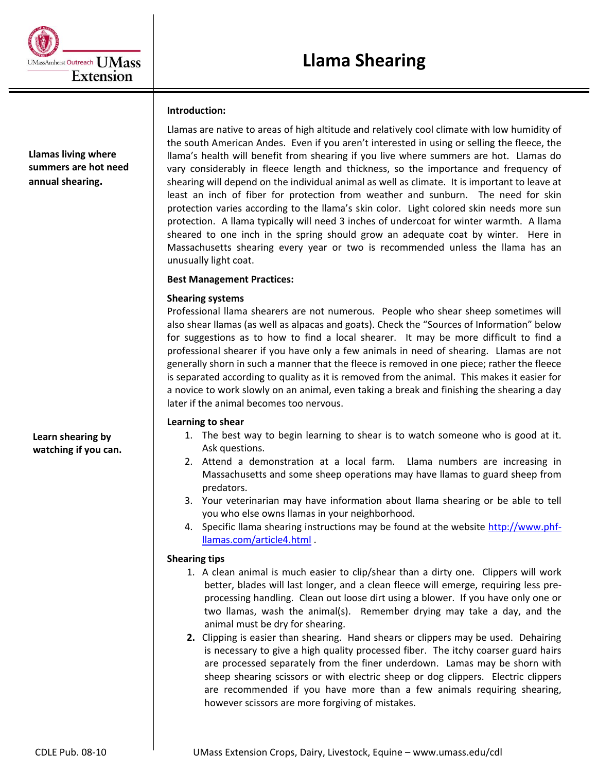# **Introduction:**

**Llamas living where summers are hot need annual shearing.**

Llamas are native to areas of high altitude and relatively cool climate with low humidity of the south American Andes. Even if you aren't interested in using or selling the fleece, the llama's health will benefit from shearing if you live where summers are hot. Llamas do vary considerably in fleece length and thickness, so the importance and frequency of shearing will depend on the individual animal as well as climate. It is important to leave at least an inch of fiber for protection from weather and sunburn. The need for skin protection varies according to the llama's skin color. Light colored skin needs more sun protection. A llama typically will need 3 inches of undercoat for winter warmth. A llama sheared to one inch in the spring should grow an adequate coat by winter. Here in Massachusetts shearing every year or two is recommended unless the llama has an unusually light coat.

# **Best Management Practices:**

# **Shearing systems**

Professional llama shearers are not numerous. People who shear sheep sometimes will also shear llamas (as well as alpacas and goats). Check the "Sources of Information" below for suggestions as to how to find a local shearer. It may be more difficult to find a professional shearer if you have only a few animals in need of shearing. Llamas are not generally shorn in such a manner that the fleece is removed in one piece; rather the fleece is separated according to quality as it is removed from the animal. This makes it easier for a novice to work slowly on an animal, even taking a break and finishing the shearing a day later if the animal becomes too nervous.

# **Learning to shear**

- 1. The best way to begin learning to shear is to watch someone who is good at it. Ask questions.
- 2. Attend a demonstration at a local farm. Llama numbers are increasing in Massachusetts and some sheep operations may have llamas to guard sheep from predators.
- 3. Your veterinarian may have information about llama shearing or be able to tell you who else owns llamas in your neighborhood.
- 4. Specific llama shearing instructions may be found at the website [http://www.phf](http://www.phf-llamas.com/article4.html)[llamas.com/article4.html](http://www.phf-llamas.com/article4.html) .

# **Shearing tips**

- 1. A clean animal is much easier to clip/shear than a dirty one. Clippers will work better, blades will last longer, and a clean fleece will emerge, requiring less preprocessing handling. Clean out loose dirt using a blower. If you have only one or two llamas, wash the animal(s). Remember drying may take a day, and the animal must be dry for shearing.
- **2.** Clipping is easier than shearing. Hand shears or clippers may be used. Dehairing is necessary to give a high quality processed fiber. The itchy coarser guard hairs are processed separately from the finer underdown. Lamas may be shorn with sheep shearing scissors or with electric sheep or dog clippers. Electric clippers are recommended if you have more than a few animals requiring shearing, however scissors are more forgiving of mistakes.

**Learn shearing by watching if you can.**